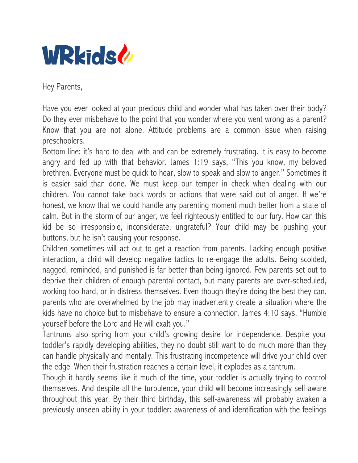

Hey Parents,

Have you ever looked at your precious child and wonder what has taken over their body? Do they ever misbehave to the point that you wonder where you went wrong as a parent? Know that you are not alone. Attitude problems are a common issue when raising preschoolers.

Bottom line: it's hard to deal with and can be extremely frustrating. It is easy to become angry and fed up with that behavior. James 1:19 says, "This you know, my beloved brethren. Everyone must be quick to hear, slow to speak and slow to anger." Sometimes it is easier said than done. We must keep our temper in check when dealing with our children. You cannot take back words or actions that were said out of anger. If we're honest, we know that we could handle any parenting moment much better from a state of calm. But in the storm of our anger, we feel righteously entitled to our fury. How can this kid be so irresponsible, inconsiderate, ungrateful? Your child may be pushing your buttons, but he isn't causing your response.

Children sometimes will act out to get a reaction from parents. Lacking enough positive interaction, a child will develop negative tactics to re-engage the adults. Being scolded, nagged, reminded, and punished is far better than being ignored. Few parents set out to deprive their children of enough parental contact, but many parents are over-scheduled, working too hard, or in distress themselves. Even though they're doing the best they can, parents who are overwhelmed by the job may inadvertently create a situation where the kids have no choice but to misbehave to ensure a connection. James 4:10 says, "Humble yourself before the Lord and He will exalt you."

Tantrums also spring from your child's growing desire for independence. Despite your toddler's rapidly developing abilities, they no doubt still want to do much more than they can handle physically and mentally. This frustrating incompetence will drive your child over the edge. When their frustration reaches a certain level, it explodes as a tantrum.

Though it hardly seems like it much of the time, your toddler is actually trying to control themselves. And despite all the turbulence, your child will become increasingly self-aware throughout this year. By their third birthday, this self-awareness will probably awaken a previously unseen ability in your toddler: awareness of and identification with the feelings